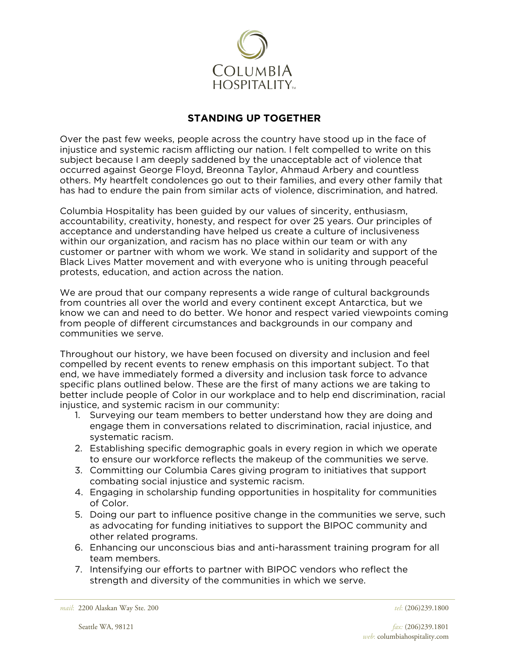

## **STANDING UP TOGETHER**

Over the past few weeks, people across the country have stood up in the face of injustice and systemic racism afflicting our nation. I felt compelled to write on this subject because I am deeply saddened by the unacceptable act of violence that occurred against George Floyd, Breonna Taylor, Ahmaud Arbery and countless others. My heartfelt condolences go out to their families, and every other family that has had to endure the pain from similar acts of violence, discrimination, and hatred.

Columbia Hospitality has been guided by our values of sincerity, enthusiasm, accountability, creativity, honesty, and respect for over 25 years. Our principles of acceptance and understanding have helped us create a culture of inclusiveness within our organization, and racism has no place within our team or with any customer or partner with whom we work. We stand in solidarity and support of the Black Lives Matter movement and with everyone who is uniting through peaceful protests, education, and action across the nation.

We are proud that our company represents a wide range of cultural backgrounds from countries all over the world and every continent except Antarctica, but we know we can and need to do better. We honor and respect varied viewpoints coming from people of different circumstances and backgrounds in our company and communities we serve.

Throughout our history, we have been focused on diversity and inclusion and feel compelled by recent events to renew emphasis on this important subject. To that end, we have immediately formed a diversity and inclusion task force to advance specific plans outlined below. These are the first of many actions we are taking to better include people of Color in our workplace and to help end discrimination, racial injustice, and systemic racism in our community:

- 1. Surveying our team members to better understand how they are doing and engage them in conversations related to discrimination, racial injustice, and systematic racism.
- 2. Establishing specific demographic goals in every region in which we operate to ensure our workforce reflects the makeup of the communities we serve.
- 3. Committing our Columbia Cares giving program to initiatives that support combating social injustice and systemic racism.
- 4. Engaging in scholarship funding opportunities in hospitality for communities of Color.
- 5. Doing our part to influence positive change in the communities we serve, such as advocating for funding initiatives to support the BIPOC community and other related programs.
- 6. Enhancing our unconscious bias and anti-harassment training program for all team members.
- 7. Intensifying our efforts to partner with BIPOC vendors who reflect the strength and diversity of the communities in which we serve.

*mail*: 2200 Alaskan Way Ste. 200 *tel*: (206)239.1800